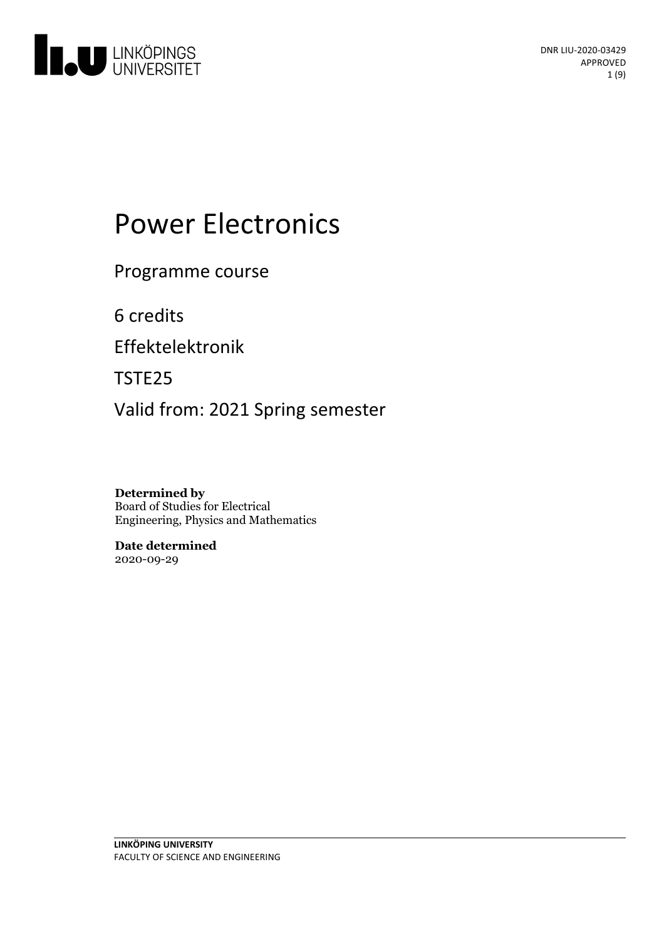

# **Power Electronics**

Programme course

6 credits

Effektelektronik

TSTE25

Valid from: 2021 Spring semester

**Determined by** Board of Studies for Electrical Engineering, Physics and Mathematics

**Date determined** 2020-09-29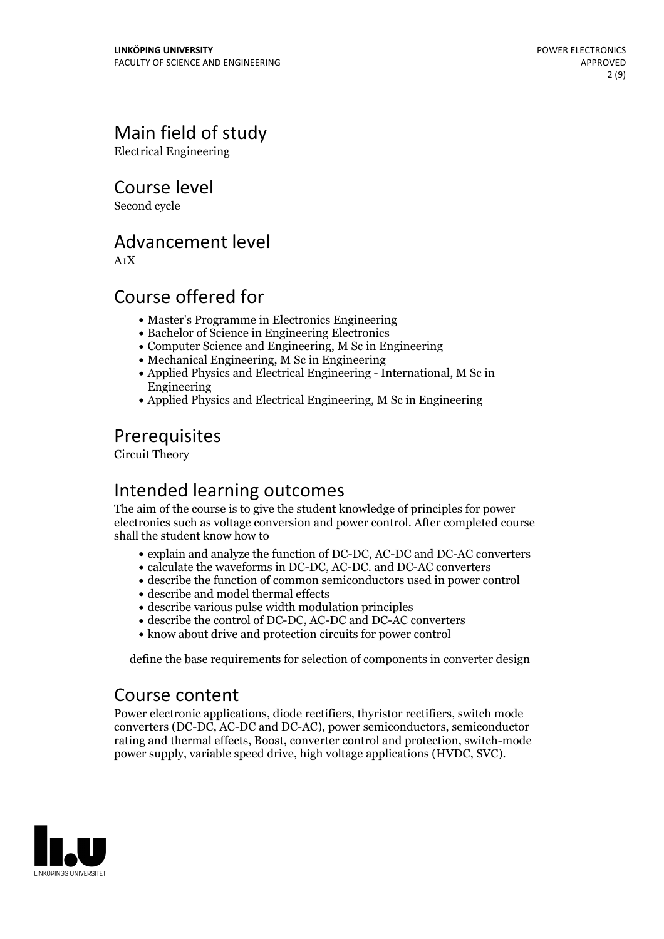# Main field of study

Electrical Engineering

Course level

Second cycle

### Advancement level

A1X

# Course offered for

- Master's Programme in Electronics Engineering
- Bachelor of Science in Engineering Electronics
- Computer Science and Engineering, M Sc in Engineering
- Mechanical Engineering, M Sc in Engineering
- Applied Physics and Electrical Engineering International, M Sc in Engineering
- Applied Physics and Electrical Engineering, M Sc in Engineering

# Prerequisites

Circuit Theory

### Intended learning outcomes

The aim of the course is to give the student knowledge of principles for power electronics such as voltage conversion and power control. After completed course shall the student know how to

- explain and analyze the function of DC-DC, AC-DC and DC-AC converters
- calculate the waveforms in DC-DC, AC-DC. and DC-AC converters
- describe the function of common semiconductors used in power control
- describe and model thermal effects
- describe various pulse width modulation principles
- describe the control of DC-DC, AC-DC and DC-AC converters
- know about drive and protection circuits for power control

define the base requirements for selection of components in converter design

### Course content

Power electronic applications, diode rectifiers, thyristor rectifiers, switch mode converters (DC-DC, AC-DC and DC-AC), power semiconductors, semiconductor rating and thermal effects, Boost, converter control and protection, switch-mode power supply, variable speed drive, high voltage applications (HVDC, SVC).

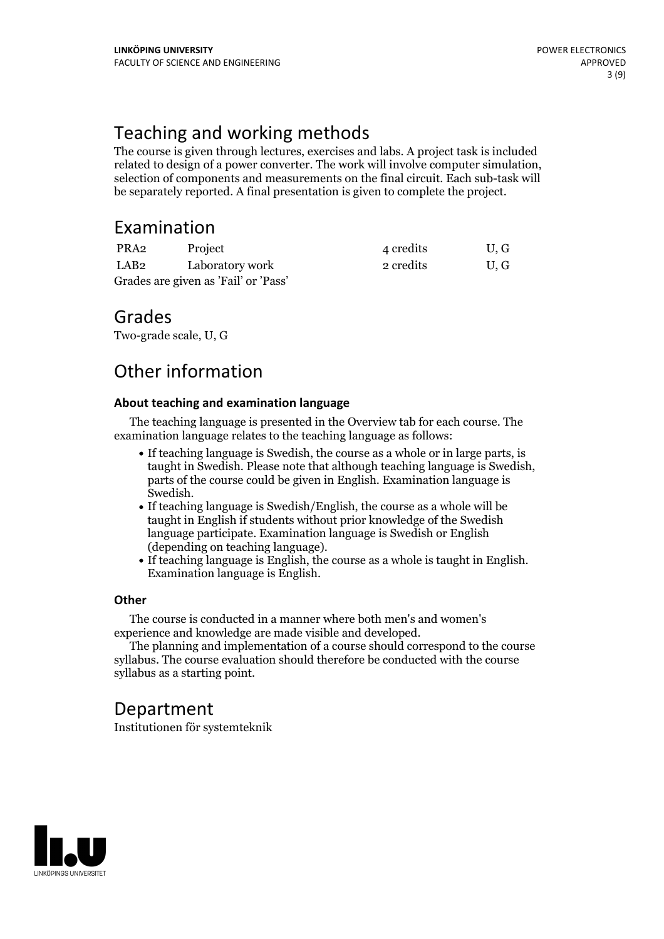# Teaching and working methods

The course is given through lectures, exercises and labs. A project task is included related to design of <sup>a</sup> power converter. The work willinvolve computer simulation, selection of components and measurements on the final circuit. Each sub-task will be separately reported. A final presentation is given to complete the project.

# Examination

| PRA2                                 | Project         | 4 credits | U.G |
|--------------------------------------|-----------------|-----------|-----|
| LAB2                                 | Laboratory work | 2 credits | U.G |
| Grades are given as 'Fail' or 'Pass' |                 |           |     |

### Grades

Two-grade scale, U, G

# Other information

#### **About teaching and examination language**

The teaching language is presented in the Overview tab for each course. The examination language relates to the teaching language as follows:

- If teaching language is Swedish, the course as a whole or in large parts, is taught in Swedish. Please note that although teaching language is Swedish, parts of the course could be given in English. Examination language is
- Swedish.<br>• If teaching language is Swedish/English, the course as a whole will be taught in English if students without prior knowledge of the Swedish language participate. Examination language is Swedish or English
- (depending on teaching language).<br>• If teaching language is English, the course as a whole is taught in English.<br>Examination language is English.

#### **Other**

The course is conducted in a manner where both men's and women's

The planning and implementation of a course should correspond to the course syllabus. The course evaluation should therefore be conducted with the course syllabus as a starting point.

# Department

Institutionen för systemteknik

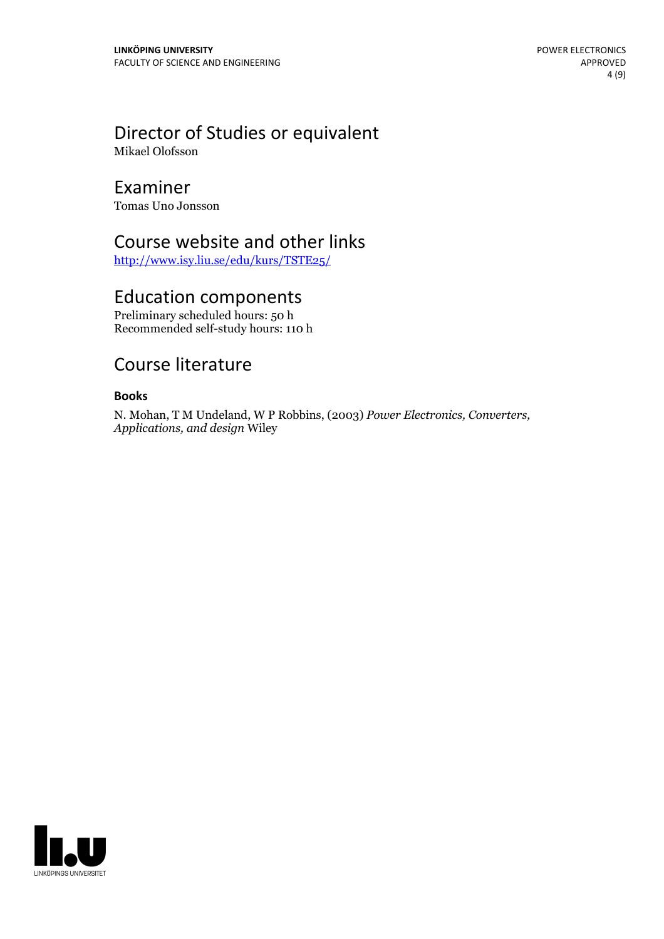# Director of Studies or equivalent

Mikael Olofsson

### Examiner

Tomas Uno Jonsson

### Course website and other links

<http://www.isy.liu.se/edu/kurs/TSTE25/>

### Education components

Preliminary scheduled hours: 50 h Recommended self-study hours: 110 h

# Course literature

#### **Books**

N. Mohan, <sup>T</sup> <sup>M</sup> Undeland, <sup>W</sup> <sup>P</sup> Robbins, (2003) *Power Electronics, Converters, Applications, and design* Wiley

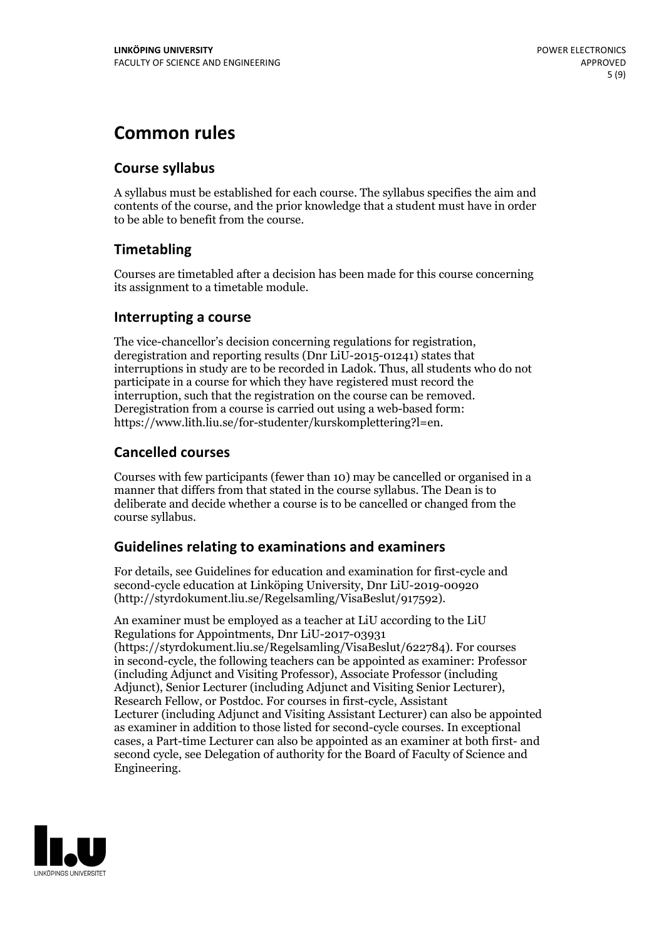# **Common rules**

#### **Course syllabus**

A syllabus must be established for each course. The syllabus specifies the aim and contents of the course, and the prior knowledge that a student must have in order to be able to benefit from the course.

### **Timetabling**

Courses are timetabled after a decision has been made for this course concerning its assignment to a timetable module.

#### **Interrupting a course**

The vice-chancellor's decision concerning regulations for registration, deregistration and reporting results (Dnr LiU-2015-01241) states that interruptions in study are to be recorded in Ladok. Thus, all students who do not participate in a course for which they have registered must record the interruption, such that the registration on the course can be removed. Deregistration from <sup>a</sup> course is carried outusing <sup>a</sup> web-based form: https://www.lith.liu.se/for-studenter/kurskomplettering?l=en.

### **Cancelled courses**

Courses with few participants (fewer than 10) may be cancelled or organised in a manner that differs from that stated in the course syllabus. The Dean is to deliberate and decide whether a course is to be cancelled or changed from the course syllabus.

### **Guidelines relatingto examinations and examiners**

For details, see Guidelines for education and examination for first-cycle and second-cycle education at Linköping University, Dnr LiU-2019-00920 (http://styrdokument.liu.se/Regelsamling/VisaBeslut/917592).

An examiner must be employed as a teacher at LiU according to the LiU Regulations for Appointments, Dnr LiU-2017-03931 (https://styrdokument.liu.se/Regelsamling/VisaBeslut/622784). For courses in second-cycle, the following teachers can be appointed as examiner: Professor (including Adjunct and Visiting Professor), Associate Professor (including Adjunct), Senior Lecturer (including Adjunct and Visiting Senior Lecturer), Research Fellow, or Postdoc. For courses in first-cycle, Assistant Lecturer (including Adjunct and Visiting Assistant Lecturer) can also be appointed as examiner in addition to those listed for second-cycle courses. In exceptional cases, a Part-time Lecturer can also be appointed as an examiner at both first- and second cycle, see Delegation of authority for the Board of Faculty of Science and Engineering.

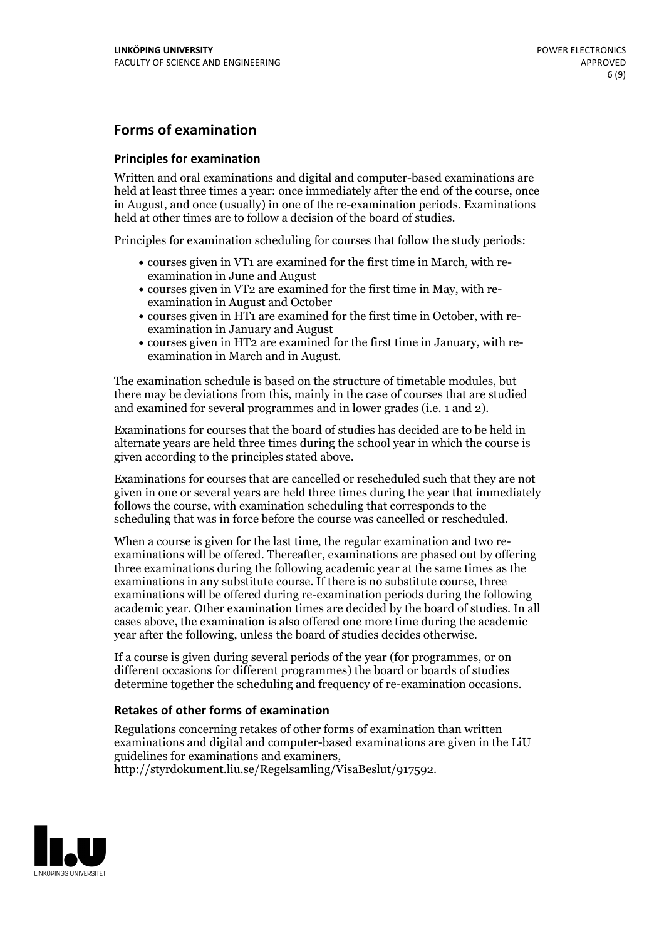### **Forms of examination**

#### **Principles for examination**

Written and oral examinations and digital and computer-based examinations are held at least three times a year: once immediately after the end of the course, once in August, and once (usually) in one of the re-examination periods. Examinations held at other times are to follow a decision of the board of studies.

Principles for examination scheduling for courses that follow the study periods:

- courses given in VT1 are examined for the first time in March, with re-examination in June and August
- courses given in VT2 are examined for the first time in May, with re-examination in August and October
- courses given in HT1 are examined for the first time in October, with re-examination in January and August
- courses given in HT2 are examined for the first time in January, with re-examination in March and in August.

The examination schedule is based on the structure of timetable modules, but there may be deviations from this, mainly in the case of courses that are studied and examined for several programmes and in lower grades (i.e. 1 and 2).

Examinations for courses that the board of studies has decided are to be held in alternate years are held three times during the school year in which the course is given according to the principles stated above.

Examinations for courses that are cancelled orrescheduled such that they are not given in one or several years are held three times during the year that immediately follows the course, with examination scheduling that corresponds to the scheduling that was in force before the course was cancelled or rescheduled.

When a course is given for the last time, the regular examination and two re-<br>examinations will be offered. Thereafter, examinations are phased out by offering three examinations during the following academic year at the same times as the examinations in any substitute course. If there is no substitute course, three examinations will be offered during re-examination periods during the following academic year. Other examination times are decided by the board of studies. In all cases above, the examination is also offered one more time during the academic year after the following, unless the board of studies decides otherwise.

If a course is given during several periods of the year (for programmes, or on different occasions for different programmes) the board or boards of studies determine together the scheduling and frequency of re-examination occasions.

#### **Retakes of other forms of examination**

Regulations concerning retakes of other forms of examination than written examinations and digital and computer-based examinations are given in the LiU guidelines for examinations and examiners, http://styrdokument.liu.se/Regelsamling/VisaBeslut/917592.

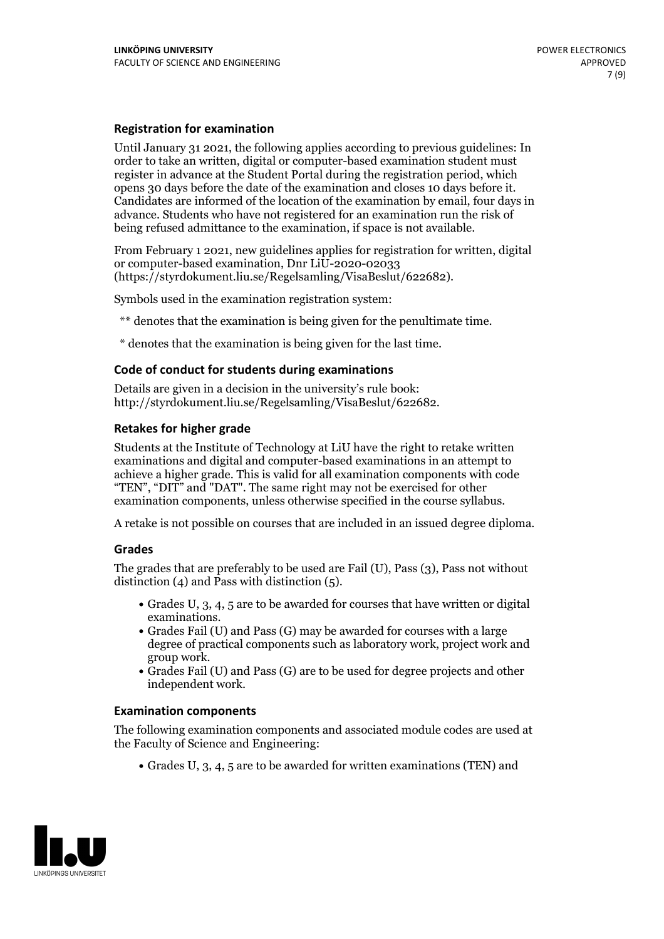#### **Registration for examination**

Until January 31 2021, the following applies according to previous guidelines: In order to take an written, digital or computer-based examination student must register in advance at the Student Portal during the registration period, which Candidates are informed of the location of the examination by email, four days in advance. Students who have not registered for an examination run the risk of being refused admittance to the examination, if space is not available.

From February 1 2021, new guidelines applies for registration for written, digital or computer-based examination, Dnr LiU-2020-02033 (https://styrdokument.liu.se/Regelsamling/VisaBeslut/622682).

Symbols used in the examination registration system:

\*\* denotes that the examination is being given for the penultimate time.

\* denotes that the examination is being given for the last time.

#### **Code of conduct for students during examinations**

Details are given in a decision in the university's rule book: http://styrdokument.liu.se/Regelsamling/VisaBeslut/622682.

#### **Retakes for higher grade**

Students at the Institute of Technology at LiU have the right to retake written examinations and digital and computer-based examinations in an attempt to achieve a higher grade. This is valid for all examination components with code "TEN", "DIT" and "DAT". The same right may not be exercised for other examination components, unless otherwise specified in the course syllabus.

A retake is not possible on courses that are included in an issued degree diploma.

#### **Grades**

The grades that are preferably to be used are Fail (U), Pass (3), Pass not without distinction  $(4)$  and Pass with distinction  $(5)$ .

- Grades U, 3, 4, 5 are to be awarded for courses that have written or digital
- examinations.<br>• Grades Fail (U) and Pass (G) may be awarded for courses with a large degree of practical components such as laboratory work, project work and
- $\bullet$  Grades Fail (U) and Pass (G) are to be used for degree projects and other independent work.

#### **Examination components**

The following examination components and associated module codes are used at the Faculty of Science and Engineering:

Grades U, 3, 4, 5 are to be awarded for written examinations (TEN) and

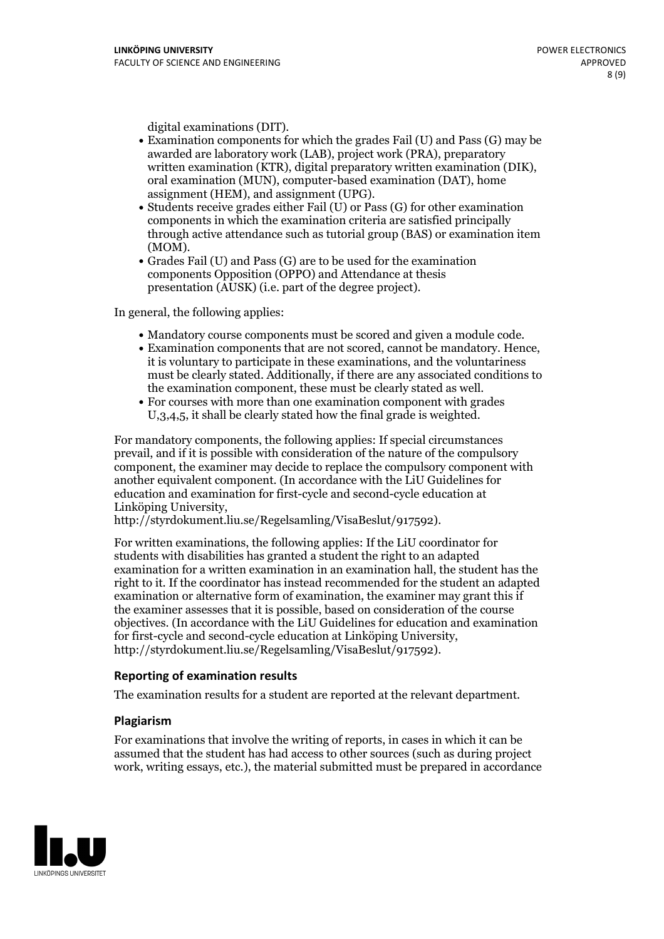- digital examinations (DIT).<br>• Examination components for which the grades Fail (U) and Pass (G) may be awarded are laboratory work (LAB), project work (PRA), preparatory written examination (KTR), digital preparatory written examination (DIK), oral examination (MUN), computer-based examination (DAT), home
- assignment (HEM), and assignment (UPG).<br>• Students receive grades either Fail (U) or Pass (G) for other examination components in which the examination criteria are satisfied principally through active attendance such as tutorial group (BAS) or examination item
- (MOM).<br>• Grades Fail (U) and Pass (G) are to be used for the examination components Opposition (OPPO) and Attendance at thesis presentation (AUSK) (i.e. part of the degree project).

In general, the following applies:

- 
- Mandatory course components must be scored and given <sup>a</sup> module code. Examination components that are not scored, cannot be mandatory. Hence, it is voluntary to participate in these examinations, and the voluntariness must be clearly stated. Additionally, if there are any associated conditions to the examination component, these must be clearly stated as well.<br>• For courses with more than one examination component with grades
- U,3,4,5, it shall be clearly stated how the final grade is weighted.

For mandatory components, the following applies: If special circumstances prevail, and if it is possible with consideration of the nature ofthe compulsory component, the examiner may decide to replace the compulsory component with another equivalent component. (In accordance with the LiU Guidelines for education and examination for first-cycle and second-cycle education at Linköping University, http://styrdokument.liu.se/Regelsamling/VisaBeslut/917592).

For written examinations, the following applies: If the LiU coordinator for students with disabilities has granted a student the right to an adapted examination for a written examination in an examination hall, the student has the right to it. If the coordinator has instead recommended for the student an adapted examination or alternative form of examination, the examiner may grant this if the examiner assesses that it is possible, based on consideration of the course objectives. (In accordance with the LiU Guidelines for education and examination for first-cycle and second-cycle education at Linköping University, http://styrdokument.liu.se/Regelsamling/VisaBeslut/917592).

#### **Reporting of examination results**

The examination results for a student are reported at the relevant department.

#### **Plagiarism**

For examinations that involve the writing of reports, in cases in which it can be assumed that the student has had access to other sources (such as during project work, writing essays, etc.), the material submitted must be prepared in accordance